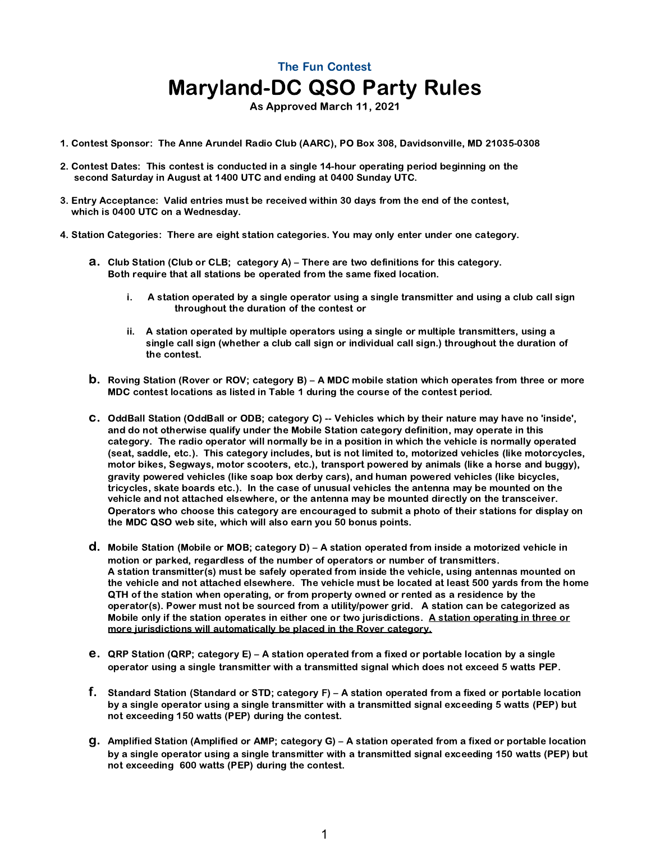As Approved March 11, 2021

- 1. Contest Sponsor: The Anne Arundel Radio Club (AARC), PO Box 308, Davidsonville, MD 21035-0308
- 2. Contest Dates: This contest is conducted in a single 14-hour operating period beginning on the second Saturday in August at 1400 UTC and ending at 0400 Sunday UTC.
- 3. Entry Acceptance: Valid entries must be received within 30 days from the end of the contest, which is 0400 UTC on a Wednesday.
- 4. Station Categories: There are eight station categories. You may only enter under one category.
	- a. Club Station (Club or CLB; category A) There are two definitions for this category. Both require that all stations be operated from the same fixed location.
		- i. A station operated by a single operator using a single transmitter and using a club call sign throughout the duration of the contest or
		- ii. A station operated by multiple operators using a single or multiple transmitters, using a single call sign (whether a club call sign or individual call sign.) throughout the duration of the contest.
	- b. Roving Station (Rover or ROV; category B) A MDC mobile station which operates from three or more MDC contest locations as listed in Table 1 during the course of the contest period.
	- c. OddBall Station (OddBall or ODB; category C) -- Vehicles which by their nature may have no 'inside', and do not otherwise qualify under the Mobile Station category definition, may operate in this category. The radio operator will normally be in a position in which the vehicle is normally operated (seat, saddle, etc.). This category includes, but is not limited to, motorized vehicles (like motorcycles, motor bikes, Segways, motor scooters, etc.), transport powered by animals (like a horse and buggy), gravity powered vehicles (like soap box derby cars), and human powered vehicles (like bicycles, tricycles, skate boards etc.). In the case of unusual vehicles the antenna may be mounted on the vehicle and not attached elsewhere, or the antenna may be mounted directly on the transceiver. Operators who choose this category are encouraged to submit a photo of their stations for display on the MDC QSO web site, which will also earn you 50 bonus points.
	- d. Mobile Station (Mobile or MOB; category D) A station operated from inside a motorized vehicle in motion or parked, regardless of the number of operators or number of transmitters. A station transmitter(s) must be safely operated from inside the vehicle, using antennas mounted on the vehicle and not attached elsewhere. The vehicle must be located at least 500 yards from the home QTH of the station when operating, or from property owned or rented as a residence by the operator(s). Power must not be sourced from a utility/power grid. A station can be categorized as Mobile only if the station operates in either one or two jurisdictions. A station operating in three or more jurisdictions will automatically be placed in the Rover category.
	- e. QRP Station (QRP; category E) A station operated from a fixed or portable location by a single operator using a single transmitter with a transmitted signal which does not exceed 5 watts PEP.
	- f. Standard Station (Standard or STD; category F) A station operated from a fixed or portable location by a single operator using a single transmitter with a transmitted signal exceeding 5 watts (PEP) but not exceeding 150 watts (PEP) during the contest.
	- g. Amplified Station (Amplified or AMP; category G) A station operated from a fixed or portable location by a single operator using a single transmitter with a transmitted signal exceeding 150 watts (PEP) but not exceeding 600 watts (PEP) during the contest.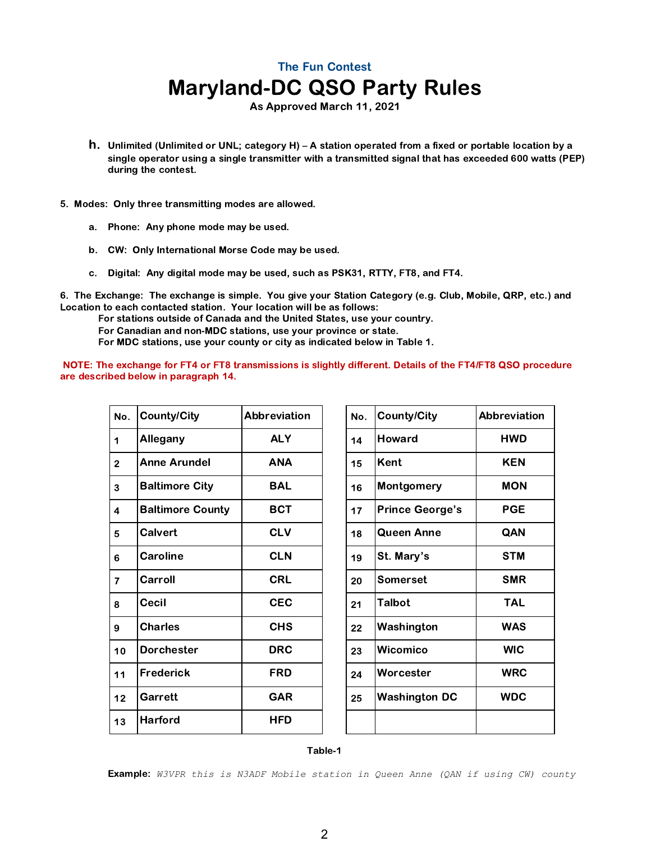As Approved March 11, 2021

- h. Unlimited (Unlimited or UNL; category H) A station operated from a fixed or portable location by a single operator using a single transmitter with a transmitted signal that has exceeded 600 watts (PEP) during the contest.
- 5. Modes: Only three transmitting modes are allowed.
	- a. Phone: Any phone mode may be used.
	- b. CW: Only International Morse Code may be used.
	- c. Digital: Any digital mode may be used, such as PSK31, RTTY, FT8, and FT4.

6. The Exchange: The exchange is simple. You give your Station Category (e.g. Club, Mobile, QRP, etc.) and Location to each contacted station. Your location will be as follows:

For stations outside of Canada and the United States, use your country.

For Canadian and non-MDC stations, use your province or state.

For MDC stations, use your county or city as indicated below in Table 1.

NOTE: The exchange for FT4 or FT8 transmissions is slightly different. Details of the FT4/FT8 QSO procedure are described below in paragraph 14.

| No.            | <b>County/City</b>      | Abbreviation | No. | <b>County/City</b>     | Abbreviation |
|----------------|-------------------------|--------------|-----|------------------------|--------------|
| 1              | Allegany                | <b>ALY</b>   | 14  | <b>Howard</b>          | <b>HWD</b>   |
| $\overline{2}$ | <b>Anne Arundel</b>     | <b>ANA</b>   | 15  | Kent                   | <b>KEN</b>   |
| 3              | <b>Baltimore City</b>   | <b>BAL</b>   | 16  | Montgomery             | <b>MON</b>   |
| $\overline{4}$ | <b>Baltimore County</b> | <b>BCT</b>   | 17  | <b>Prince George's</b> | <b>PGE</b>   |
| 5              | <b>Calvert</b>          | <b>CLV</b>   | 18  | <b>Queen Anne</b>      | QAN          |
| 6              | Caroline                | <b>CLN</b>   | 19  | St. Mary's             | <b>STM</b>   |
| $\overline{7}$ | Carroll                 | <b>CRL</b>   | 20  | <b>Somerset</b>        | <b>SMR</b>   |
| 8              | <b>Cecil</b>            | <b>CEC</b>   | 21  | Talbot                 | <b>TAL</b>   |
| 9              | <b>Charles</b>          | <b>CHS</b>   | 22  | Washington             | <b>WAS</b>   |
| 10             | <b>Dorchester</b>       | <b>DRC</b>   | 23  | <b>Wicomico</b>        | <b>WIC</b>   |
| 11             | <b>Frederick</b>        | <b>FRD</b>   | 24  | Worcester              | <b>WRC</b>   |
| 12             | Garrett                 | <b>GAR</b>   | 25  | <b>Washington DC</b>   | <b>WDC</b>   |
| 13             | <b>Harford</b>          | <b>HFD</b>   |     |                        |              |

| No. | <b>County/City</b>     | <b>Abbreviation</b> |
|-----|------------------------|---------------------|
| 14  | Howard                 | HWD                 |
| 15  | Kent                   | <b>KEN</b>          |
| 16  | Montgomery             | MON                 |
| 17  | <b>Prince George's</b> | PGE                 |
| 18  | Queen Anne             | QAN                 |
| 19  | St. Mary's             | STM                 |
| 20  | Somerset               | <b>SMR</b>          |
| 21  | <b>Talbot</b>          | TAI                 |
| 22  | Washington             | <b>WAS</b>          |
| 23  | Wicomico               | <b>WIC</b>          |
| 24  | Worcester              | <b>WRC</b>          |
| 25  | <b>Washington DC</b>   | <b>WDC</b>          |
|     |                        |                     |

#### Table-1

Example: *W3VPR this is N3ADF Mobile station in Queen Anne (QAN if using CW) county*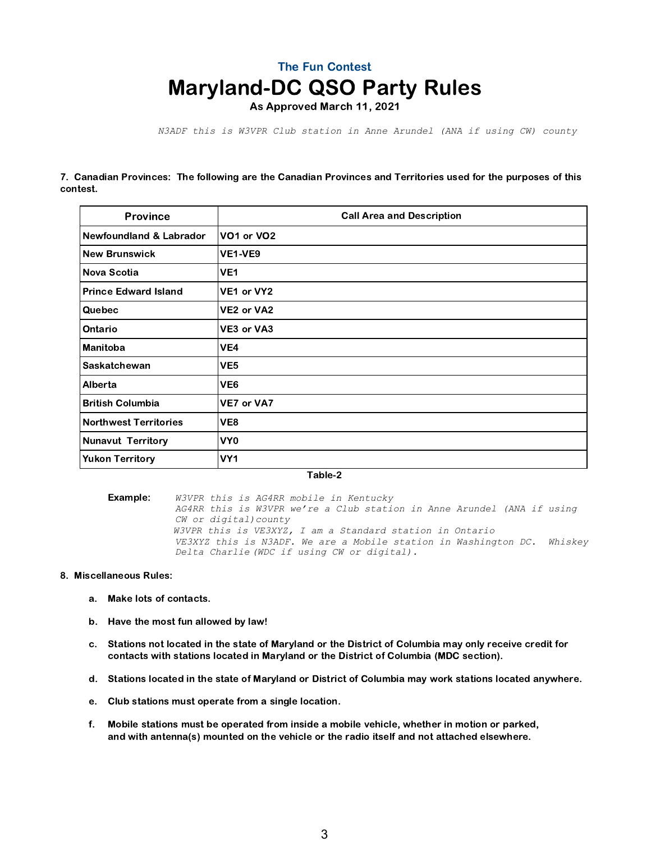As Approved March 11, 2021

 *N3ADF this is W3VPR Club station in Anne Arundel (ANA if using CW) county*

7. Canadian Provinces: The following are the Canadian Provinces and Territories used for the purposes of this contest.

| <b>Province</b>                    | <b>Call Area and Description</b> |  |  |
|------------------------------------|----------------------------------|--|--|
| <b>Newfoundland &amp; Labrador</b> | VO1 or VO2                       |  |  |
| <b>New Brunswick</b>               | VE1-VE9                          |  |  |
| Nova Scotia                        | VE <sub>1</sub>                  |  |  |
| <b>Prince Edward Island</b>        | VE1 or VY2                       |  |  |
| Quebec                             | VE2 or VA2                       |  |  |
| Ontario                            | VE3 or VA3                       |  |  |
| <b>Manitoba</b>                    | VE4                              |  |  |
| Saskatchewan                       | VE <sub>5</sub>                  |  |  |
| Alberta                            | VE <sub>6</sub>                  |  |  |
| <b>British Columbia</b>            | VE7 or VA7                       |  |  |
| <b>Northwest Territories</b>       | VE8                              |  |  |
| <b>Nunavut Territory</b>           | VY <sub>0</sub>                  |  |  |
| <b>Yukon Territory</b>             | VY <sub>1</sub>                  |  |  |

Table-2

Example: *W3VPR this is AG4RR mobile in Kentucky AG4RR this is W3VPR we're a Club station in Anne Arundel (ANA if using CW or digital)county W3VPR this is VE3XYZ, I am a Standard station in Ontario VE3XYZ this is N3ADF. We are a Mobile station in Washington DC. Whiskey Delta Charlie (WDC if using CW or digital).*

#### 8. Miscellaneous Rules:

- a. Make lots of contacts.
- b. Have the most fun allowed by law!
- c. Stations not located in the state of Maryland or the District of Columbia may only receive credit for contacts with stations located in Maryland or the District of Columbia (MDC section).
- d. Stations located in the state of Maryland or District of Columbia may work stations located anywhere.
- e. Club stations must operate from a single location.
- f. Mobile stations must be operated from inside a mobile vehicle, whether in motion or parked, and with antenna(s) mounted on the vehicle or the radio itself and not attached elsewhere.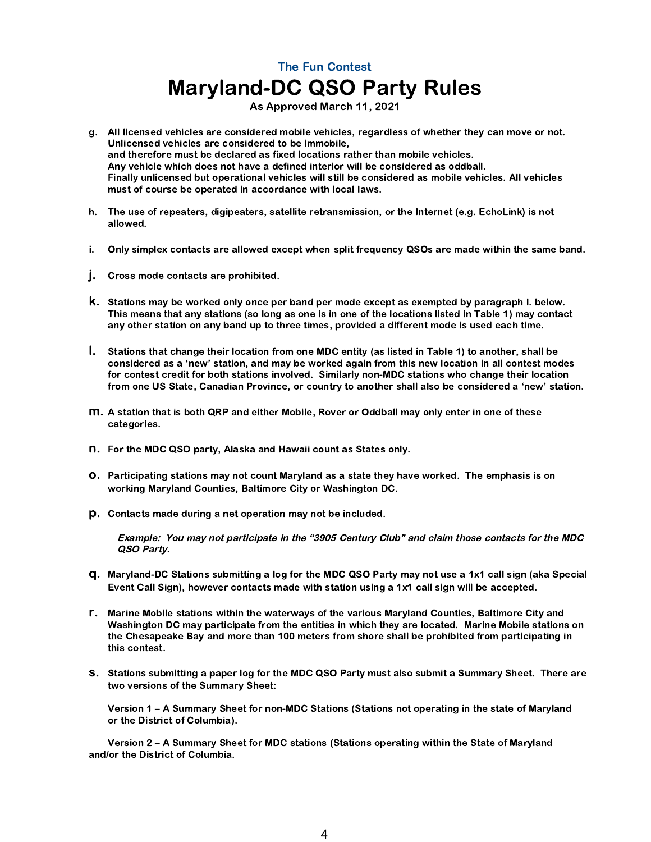As Approved March 11, 2021

- g. All licensed vehicles are considered mobile vehicles, regardless of whether they can move or not. Unlicensed vehicles are considered to be immobile, and therefore must be declared as fixed locations rather than mobile vehicles. Any vehicle which does not have a defined interior will be considered as oddball. Finally unlicensed but operational vehicles will still be considered as mobile vehicles. All vehicles must of course be operated in accordance with local laws.
- h. The use of repeaters, digipeaters, satellite retransmission, or the Internet (e.g. EchoLink) is not allowed.
- **i.** Only simplex contacts are allowed except when split frequency QSOs are made within the same band.
- j. Cross mode contacts are prohibited.
- k. Stations may be worked only once per band per mode except as exempted by paragraph l. below. This means that any stations (so long as one is in one of the locations listed in Table 1) may contact any other station on any band up to three times, provided a different mode is used each time.
- l. Stations that change their location from one MDC entity (as listed in Table 1) to another, shall be considered as a 'new' station, and may be worked again from this new location in all contest modes for contest credit for both stations involved. Similarly non-MDC stations who change their location from one US State, Canadian Province, or country to another shall also be considered a 'new' station.
- m. A station that is both QRP and either Mobile, Rover or Oddball may only enter in one of these categories.
- n. For the MDC QSO party, Alaska and Hawaii count as States only.
- o. Participating stations may not count Maryland as a state they have worked. The emphasis is on working Maryland Counties, Baltimore City or Washington DC.
- p. Contacts made during a net operation may not be included.

Example: You may not participate in the "3905 Century Club" and claim those contacts for the MDC QSO Party.

- q. Maryland-DC Stations submitting a log for the MDC QSO Party may not use a 1x1 call sign (aka Special Event Call Sign), however contacts made with station using a 1x1 call sign will be accepted.
- r. Marine Mobile stations within the waterways of the various Maryland Counties, Baltimore City and Washington DC may participate from the entities in which they are located. Marine Mobile stations on the Chesapeake Bay and more than 100 meters from shore shall be prohibited from participating in this contest.
- s. Stations submitting a paper log for the MDC QSO Party must also submit a Summary Sheet. There are two versions of the Summary Sheet:

Version 1 – A Summary Sheet for non-MDC Stations (Stations not operating in the state of Maryland or the District of Columbia).

Version 2 – A Summary Sheet for MDC stations (Stations operating within the State of Maryland and/or the District of Columbia.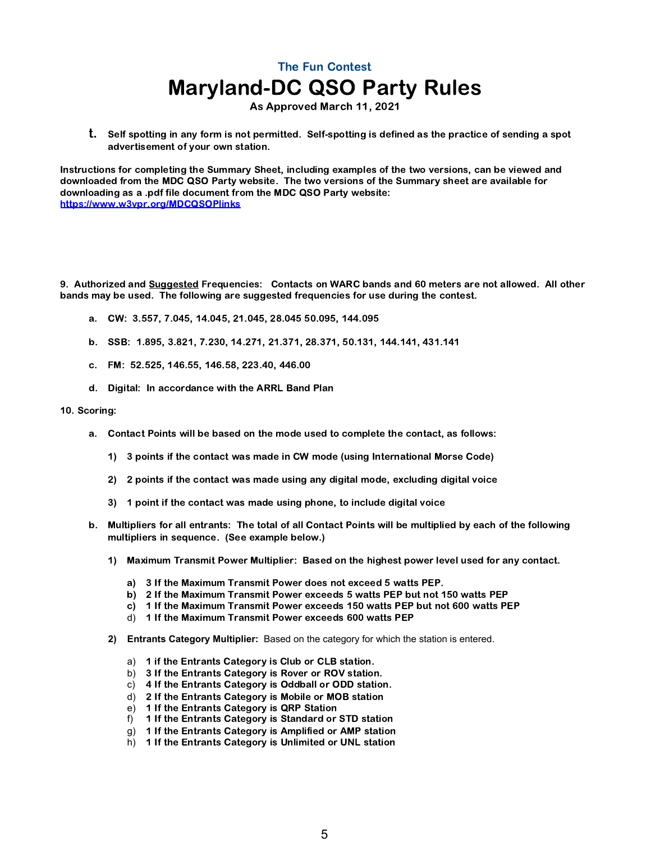As Approved March 11, 2021

t. Self spotting in any form is not permitted. Self-spotting is defined as the practice of sending a spot advertisement of your own station.

Instructions for completing the Summary Sheet, including examples of the two versions, can be viewed and downloaded from the MDC QSO Party website. The two versions of the Summary sheet are available for downloading as a .pdf file document from the MDC QSO Party website: <https://www.w3vpr.org/MDCQSOPlinks>

9. Authorized and Suggested Frequencies: Contacts on WARC bands and 60 meters are not allowed. All other bands may be used. The following are suggested frequencies for use during the contest.

- a. CW: 3.557, 7.045, 14.045, 21.045, 28.045 50.095, 144.095
- b. SSB: 1.895, 3.821, 7.230, 14.271, 21.371, 28.371, 50.131, 144.141, 431.141
- c. FM: 52.525, 146.55, 146.58, 223.40, 446.00
- d. Digital: In accordance with the ARRL Band Plan

#### 10. Scoring:

- a. Contact Points will be based on the mode used to complete the contact, as follows:
	- 1) 3 points if the contact was made in CW mode (using International Morse Code)
	- 2) 2 points if the contact was made using any digital mode, excluding digital voice
	- 3) 1 point if the contact was made using phone, to include digital voice
- b. Multipliers for all entrants: The total of all Contact Points will be multiplied by each of the following multipliers in sequence. (See example below.)
	- 1) Maximum Transmit Power Multiplier: Based on the highest power level used for any contact.
		- a) 3 If the Maximum Transmit Power does not exceed 5 watts PEP.
		- b) 2 If the Maximum Transmit Power exceeds 5 watts PEP but not 150 watts PEP
		- c) 1 If the Maximum Transmit Power exceeds 150 watts PEP but not 600 watts PEP
		- d) 1 If the Maximum Transmit Power exceeds 600 watts PEP
	- **2) Entrants Category Multiplier:** Based on the category for which the station is entered.
		- a) 1 if the Entrants Category is Club or CLB station.
		- b) 3 If the Entrants Category is Rover or ROV station.
		- c) 4 If the Entrants Category is Oddball or ODD station.
		- d) 2 If the Entrants Category is Mobile or MOB station
		- e) 1 If the Entrants Category is QRP Station
		- f) 1 If the Entrants Category is Standard or STD station
		- g) 1 If the Entrants Category is Amplified or AMP station
		- h) 1 If the Entrants Category is Unlimited or UNL station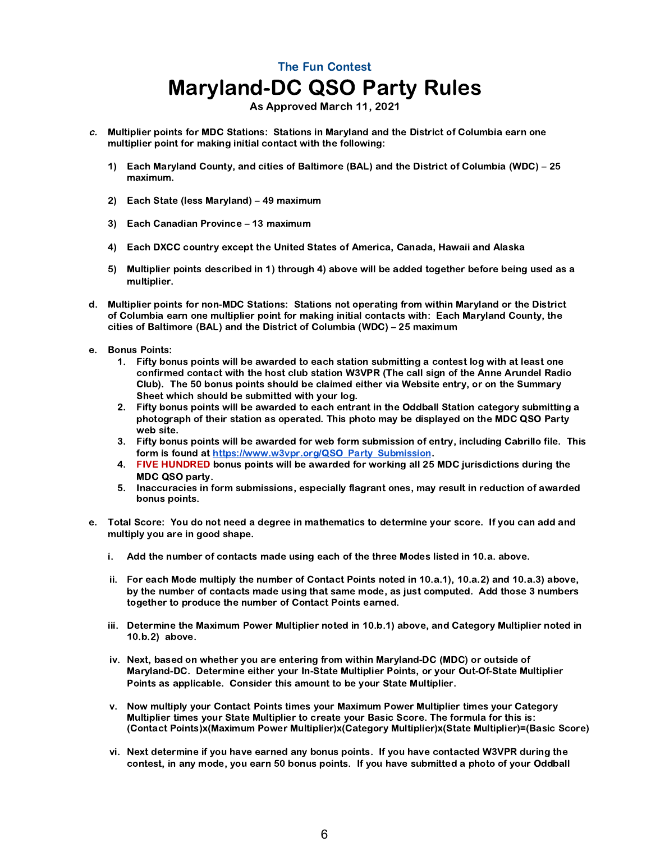As Approved March 11, 2021

- c. Multiplier points for MDC Stations: Stations in Maryland and the District of Columbia earn one multiplier point for making initial contact with the following:
	- 1) Each Maryland County, and cities of Baltimore (BAL) and the District of Columbia (WDC) 25 maximum.
	- 2) Each State (less Maryland) 49 maximum
	- 3) Each Canadian Province 13 maximum
	- 4) Each DXCC country except the United States of America, Canada, Hawaii and Alaska
	- 5) Multiplier points described in 1) through 4) above will be added together before being used as a multiplier.
- d. Multiplier points for non-MDC Stations: Stations not operating from within Maryland or the District of Columbia earn one multiplier point for making initial contacts with: Each Maryland County, the cities of Baltimore (BAL) and the District of Columbia (WDC) – 25 maximum
- e. Bonus Points:
	- 1. Fifty bonus points will be awarded to each station submitting a contest log with at least one confirmed contact with the host club station W3VPR (The call sign of the Anne Arundel Radio Club). The 50 bonus points should be claimed either via Website entry, or on the Summary Sheet which should be submitted with your log.
	- 2. Fifty bonus points will be awarded to each entrant in the Oddball Station category submitting a photograph of their station as operated. This photo may be displayed on the MDC QSO Party web site.
	- 3. Fifty bonus points will be awarded for web form submission of entry, including Cabrillo file. This form is found at [https://www.w3vpr.org/QSO\\_Party\\_Submission](https://www.w3vpr.org/QSO_Party_Submission).
	- 4. FIVE HUNDRED bonus points will be awarded for working all 25 MDC jurisdictions during the MDC QSO party.
	- 5. Inaccuracies in form submissions, especially flagrant ones, may result in reduction of awarded bonus points.
- e. Total Score: You do not need a degree in mathematics to determine your score. If you can add and multiply you are in good shape.
	- i. Add the number of contacts made using each of the three Modes listed in 10.a. above.
	- ii. For each Mode multiply the number of Contact Points noted in 10.a.1), 10.a.2) and 10.a.3) above, by the number of contacts made using that same mode, as just computed. Add those 3 numbers together to produce the number of Contact Points earned.
	- iii. Determine the Maximum Power Multiplier noted in 10.b.1) above, and Category Multiplier noted in 10.b.2) above.
	- iv. Next, based on whether you are entering from within Maryland-DC (MDC) or outside of Maryland-DC. Determine either your In-State Multiplier Points, or your Out-Of-State Multiplier Points as applicable. Consider this amount to be your State Multiplier.
	- v. Now multiply your Contact Points times your Maximum Power Multiplier times your Category Multiplier times your State Multiplier to create your Basic Score. The formula for this is: (Contact Points)x(Maximum Power Multiplier)x(Category Multiplier)x(State Multiplier)=(Basic Score)
	- vi. Next determine if you have earned any bonus points. If you have contacted W3VPR during the contest, in any mode, you earn 50 bonus points. If you have submitted a photo of your Oddball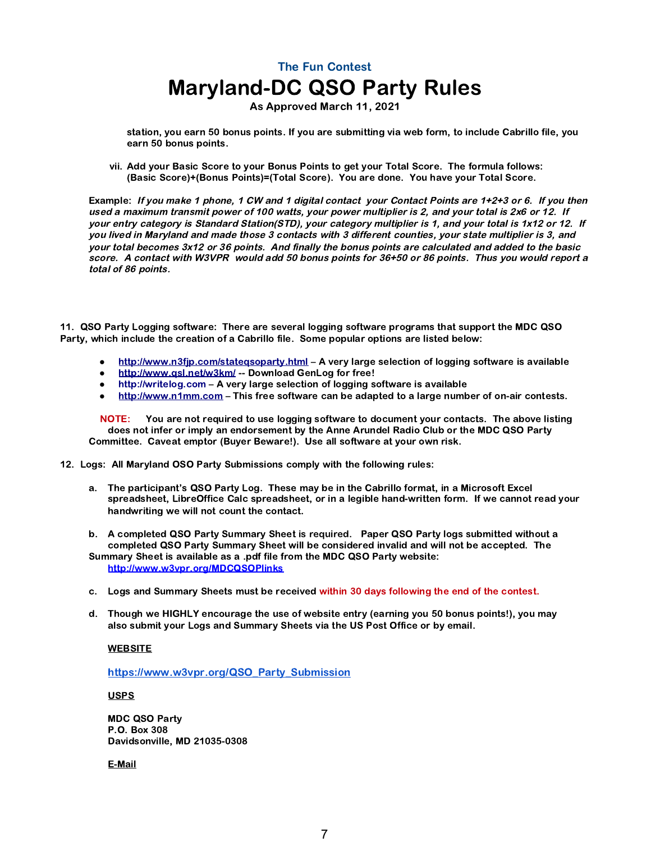As Approved March 11, 2021

station, you earn 50 bonus points. If you are submitting via web form, to include Cabrillo file, you earn 50 bonus points.

vii. Add your Basic Score to your Bonus Points to get your Total Score. The formula follows: (Basic Score)+(Bonus Points)=(Total Score). You are done. You have your Total Score.

Example: If you make 1 phone, 1 CW and 1 digital contact your Contact Points are 1+2+3 or 6. If you then used a maximum transmit power of 100 watts, your power multiplier is 2, and your total is 2x6 or 12. If your entry category is Standard Station(STD), your category multiplier is 1, and your total is 1x12 or 12. If you lived in Maryland and made those 3 contacts with 3 different counties, your state multiplier is 3, and your total becomes 3x12 or 36 points. And finally the bonus points are calculated and added to the basic score. A contact with W3VPR would add 50 bonus points for 36+50 or 86 points. Thus you would report a total of 86 points.

11. QSO Party Logging software: There are several logging software programs that support the MDC QSO Party, which include the creation of a Cabrillo file. Some popular options are listed below:

- *●* <http://www.n3fjp.com/stateqsoparty.html> A very large selection of logging software is available
- http://www.gsl.net/w3km/ -- Download GenLog for free!
- *●* [http://writelog.com](http://writelog.com/) A very large selection of logging software is available
- *●* [http://www.n1mm.com](http://www.n1mm.com/)  This free software can be adapted to a large number of on-air contests.

 NOTE: You are not required to use logging software to document your contacts. The above listing does not infer or imply an endorsement by the Anne Arundel Radio Club or the MDC QSO Party Committee. Caveat emptor (Buyer Beware!). Use all software at your own risk.

12. Logs: All Maryland OSO Party Submissions comply with the following rules:

- a. The participant's QSO Party Log. These may be in the Cabrillo format, in a Microsoft Excel spreadsheet, LibreOffice Calc spreadsheet, or in a legible hand-written form. If we cannot read your handwriting we will not count the contact.
- b. A completed QSO Party Summary Sheet is required. Paper QSO Party logs submitted without a completed QSO Party Summary Sheet will be considered invalid and will not be accepted. The Summary Sheet is available as a .pdf file from the MDC QSO Party website: <http://www.w3vpr.org/MDCQSOPlinks>
- c. Logs and Summary Sheets must be received within 30 days following the end of the contest.
- d. Though we HIGHLY encourage the use of website entry (earning you 50 bonus points!), you may also submit your Logs and Summary Sheets via the US Post Office or by email.

#### **WEBSITE**

[https://www.w3vpr.org/QSO\\_Party\\_Submission](https://www.w3vpr.org/QSO_Party_Submission)

**USPS** 

MDC QSO Party P.O. Box 308 Davidsonville, MD 21035-0308

E-Mail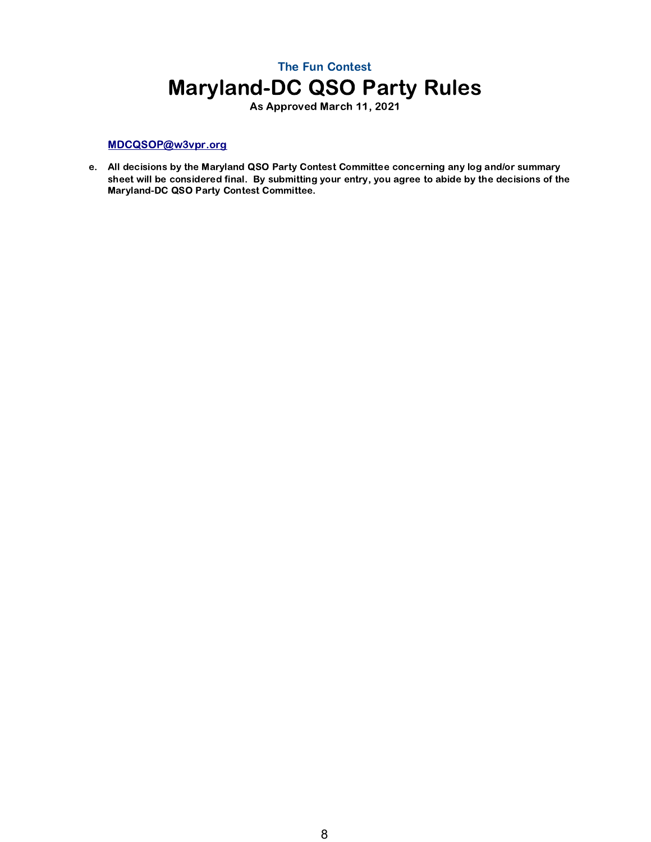As Approved March 11, 2021

#### [MDCQSOP@w3vpr.org](mailto:MDCQSOP@w3vpr.org)

e. All decisions by the Maryland QSO Party Contest Committee concerning any log and/or summary sheet will be considered final. By submitting your entry, you agree to abide by the decisions of the Maryland-DC QSO Party Contest Committee.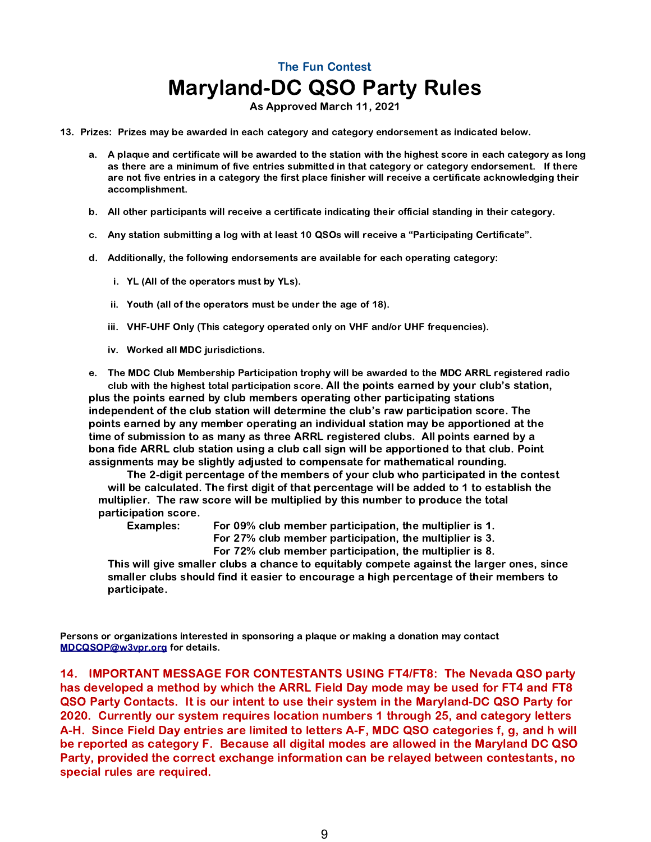As Approved March 11, 2021

- 13. Prizes: Prizes may be awarded in each category and category endorsement as indicated below.
	- a. A plaque and certificate will be awarded to the station with the highest score in each category as long as there are a minimum of five entries submitted in that category or category endorsement. If there are not five entries in a category the first place finisher will receive a certificate acknowledging their accomplishment.
	- b. All other participants will receive a certificate indicating their official standing in their category.
	- c. Any station submitting a log with at least 10 QSOs will receive a "Participating Certificate".
	- d. Additionally, the following endorsements are available for each operating category:
		- i. YL (All of the operators must by YLs).
		- ii. Youth (all of the operators must be under the age of 18).
		- iii. VHF-UHF Only (This category operated only on VHF and/or UHF frequencies).
		- iv. Worked all MDC jurisdictions.

e. The MDC Club Membership Participation trophy will be awarded to the MDC ARRL registered radio club with the highest total participation score. All the points earned by your club's station, plus the points earned by club members operating other participating stations independent of the club station will determine the club's raw participation score. The points earned by any member operating an individual station may be apportioned at the time of submission to as many as three ARRL registered clubs. All points earned by a bona fide ARRL club station using a club call sign will be apportioned to that club. Point assignments may be slightly adjusted to compensate for mathematical rounding.

The 2-digit percentage of the members of your club who participated in the contest will be calculated. The first digit of that percentage will be added to 1 to establish the multiplier. The raw score will be multiplied by this number to produce the total participation score.

Examples: For 09% club member participation, the multiplier is 1. For 27% club member participation, the multiplier is 3.

For 72% club member participation, the multiplier is 8.

This will give smaller clubs a chance to equitably compete against the larger ones, since smaller clubs should find it easier to encourage a high percentage of their members to participate.

Persons or organizations interested in sponsoring a plaque or making a donation may contact [MDCQSOP@w3vpr.org](mailto:MDCQSOP@w3vpr.org) for details.

14. IMPORTANT MESSAGE FOR CONTESTANTS USING FT4/FT8: The Nevada QSO party has developed a method by which the ARRL Field Day mode may be used for FT4 and FT8 QSO Party Contacts. It is our intent to use their system in the Maryland-DC QSO Party for 2020. Currently our system requires location numbers 1 through 25, and category letters A-H. Since Field Day entries are limited to letters A-F, MDC QSO categories f, g, and h will be reported as category F. Because all digital modes are allowed in the Maryland DC QSO Party, provided the correct exchange information can be relayed between contestants, no special rules are required.